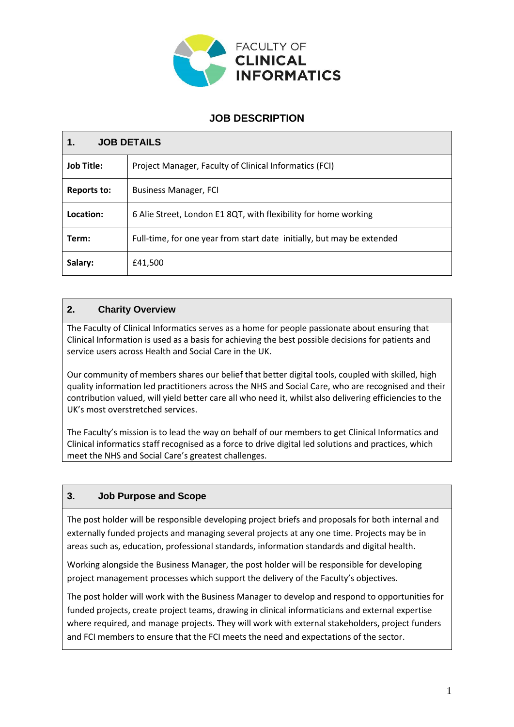

# **JOB DESCRIPTION**

| <b>JOB DETAILS</b> |                                                                        |  |  |
|--------------------|------------------------------------------------------------------------|--|--|
| <b>Job Title:</b>  | Project Manager, Faculty of Clinical Informatics (FCI)                 |  |  |
| <b>Reports to:</b> | <b>Business Manager, FCI</b>                                           |  |  |
| Location:          | 6 Alie Street, London E1 8QT, with flexibility for home working        |  |  |
| Term:              | Full-time, for one year from start date initially, but may be extended |  |  |
| Salary:            | £41,500                                                                |  |  |

# **2. Charity Overview**

The Faculty of Clinical Informatics serves as a home for people passionate about ensuring that Clinical Information is used as a basis for achieving the best possible decisions for patients and service users across Health and Social Care in the UK.

Our community of members shares our belief that better digital tools, coupled with skilled, high quality information led practitioners across the NHS and Social Care, who are recognised and their contribution valued, will yield better care all who need it, whilst also delivering efficiencies to the UK's most overstretched services.

The Faculty's mission is to lead the way on behalf of our members to get Clinical Informatics and Clinical informatics staff recognised as a force to drive digital led solutions and practices, which meet the NHS and Social Care's greatest challenges.

# **3. Job Purpose and Scope**

The post holder will be responsible developing project briefs and proposals for both internal and externally funded projects and managing several projects at any one time. Projects may be in areas such as, education, professional standards, information standards and digital health.

Working alongside the Business Manager, the post holder will be responsible for developing project management processes which support the delivery of the Faculty's objectives.

The post holder will work with the Business Manager to develop and respond to opportunities for funded projects, create project teams, drawing in clinical informaticians and external expertise where required, and manage projects. They will work with external stakeholders, project funders and FCI members to ensure that the FCI meets the need and expectations of the sector.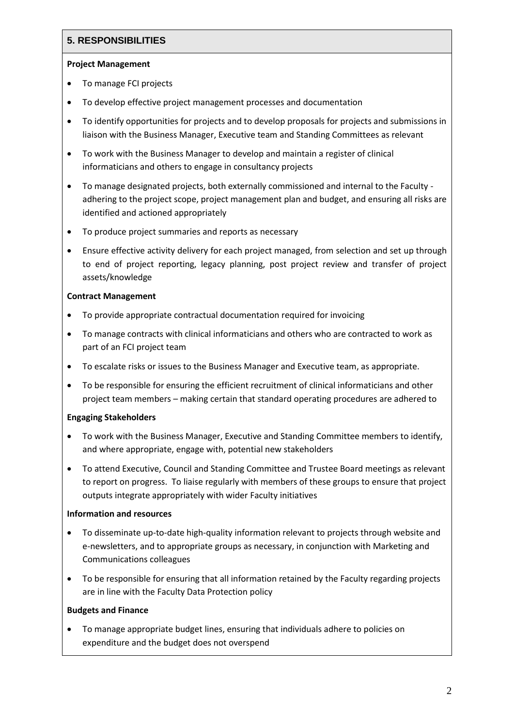# **5. RESPONSIBILITIES**

### **Project Management**

- To manage FCI projects
- To develop effective project management processes and documentation
- To identify opportunities for projects and to develop proposals for projects and submissions in liaison with the Business Manager, Executive team and Standing Committees as relevant
- To work with the Business Manager to develop and maintain a register of clinical informaticians and others to engage in consultancy projects
- To manage designated projects, both externally commissioned and internal to the Faculty adhering to the project scope, project management plan and budget, and ensuring all risks are identified and actioned appropriately
- To produce project summaries and reports as necessary
- Ensure effective activity delivery for each project managed, from selection and set up through to end of project reporting, legacy planning, post project review and transfer of project assets/knowledge

### **Contract Management**

- To provide appropriate contractual documentation required for invoicing
- To manage contracts with clinical informaticians and others who are contracted to work as part of an FCI project team
- To escalate risks or issues to the Business Manager and Executive team, as appropriate.
- To be responsible for ensuring the efficient recruitment of clinical informaticians and other project team members – making certain that standard operating procedures are adhered to

# **Engaging Stakeholders**

- To work with the Business Manager, Executive and Standing Committee members to identify, and where appropriate, engage with, potential new stakeholders
- To attend Executive, Council and Standing Committee and Trustee Board meetings as relevant to report on progress. To liaise regularly with members of these groups to ensure that project outputs integrate appropriately with wider Faculty initiatives

### **Information and resources**

- To disseminate up-to-date high-quality information relevant to projects through website and e-newsletters, and to appropriate groups as necessary, in conjunction with Marketing and Communications colleagues
- To be responsible for ensuring that all information retained by the Faculty regarding projects are in line with the Faculty Data Protection policy

# **Budgets and Finance**

• To manage appropriate budget lines, ensuring that individuals adhere to policies on expenditure and the budget does not overspend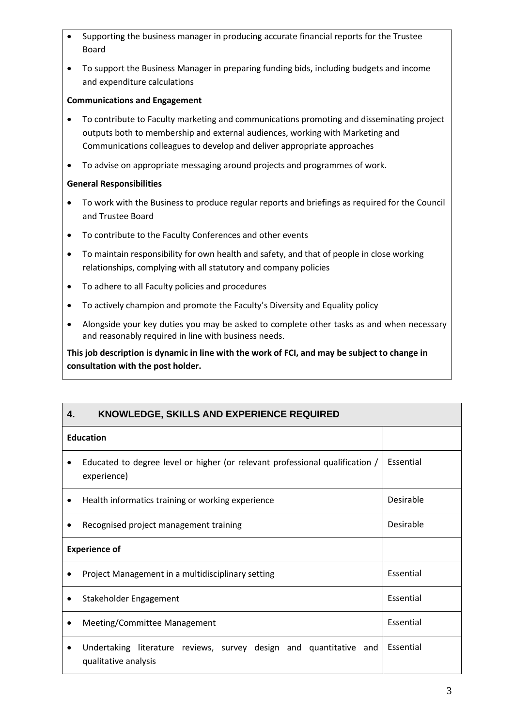- Supporting the business manager in producing accurate financial reports for the Trustee Board
- To support the Business Manager in preparing funding bids, including budgets and income and expenditure calculations

### **Communications and Engagement**

- To contribute to Faculty marketing and communications promoting and disseminating project outputs both to membership and external audiences, working with Marketing and Communications colleagues to develop and deliver appropriate approaches
- To advise on appropriate messaging around projects and programmes of work.

### **General Responsibilities**

- To work with the Business to produce regular reports and briefings as required for the Council and Trustee Board
- To contribute to the Faculty Conferences and other events
- To maintain responsibility for own health and safety, and that of people in close working relationships, complying with all statutory and company policies
- To adhere to all Faculty policies and procedures
- To actively champion and promote the Faculty's Diversity and Equality policy
- Alongside your key duties you may be asked to complete other tasks as and when necessary and reasonably required in line with business needs.

**This job description is dynamic in line with the work of FCI, and may be subject to change in consultation with the post holder.**

| KNOWLEDGE, SKILLS AND EXPERIENCE REQUIRED<br>4.                                                  |           |
|--------------------------------------------------------------------------------------------------|-----------|
| <b>Education</b>                                                                                 |           |
| Educated to degree level or higher (or relevant professional qualification /<br>٠<br>experience) | Essential |
| Health informatics training or working experience                                                | Desirable |
| Recognised project management training                                                           | Desirable |
| <b>Experience of</b>                                                                             |           |
| Project Management in a multidisciplinary setting                                                | Essential |
| Stakeholder Engagement                                                                           | Essential |
| Meeting/Committee Management                                                                     | Essential |
| Undertaking literature reviews, survey design and quantitative and<br>qualitative analysis       | Essential |